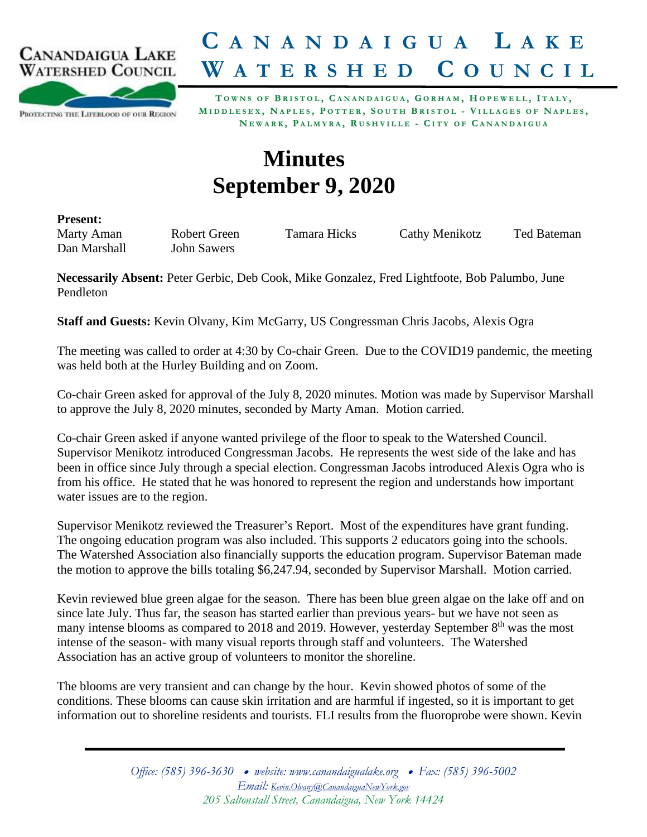

## **C A N A N D A I G U A L A K E W A T E R S H E D C O U N C I L**

PROTECTING THE LIFEBLOOD OF OUR REGION

TOWNS OF BRISTOL, CANANDAIGUA, GORHAM, HOPEWELL, ITALY, MIDDLESEX, NAPLES, POTTER, SOUTH BRISTOL - VILLAGES OF NAPLES, NEWARK, PALMYRA, RUSHVILLE - CITY OF CANANDAIGUA

## **Minutes September 9, 2020**

**Present:**

Dan Marshall John Sawers

Marty Aman Robert Green Tamara Hicks Cathy Menikotz Ted Bateman

**Necessarily Absent:** Peter Gerbic, Deb Cook, Mike Gonzalez, Fred Lightfoote, Bob Palumbo, June Pendleton

**Staff and Guests:** Kevin Olvany, Kim McGarry, US Congressman Chris Jacobs, Alexis Ogra

The meeting was called to order at 4:30 by Co-chair Green. Due to the COVID19 pandemic, the meeting was held both at the Hurley Building and on Zoom.

Co-chair Green asked for approval of the July 8, 2020 minutes. Motion was made by Supervisor Marshall to approve the July 8, 2020 minutes, seconded by Marty Aman. Motion carried.

Co-chair Green asked if anyone wanted privilege of the floor to speak to the Watershed Council. Supervisor Menikotz introduced Congressman Jacobs. He represents the west side of the lake and has been in office since July through a special election. Congressman Jacobs introduced Alexis Ogra who is from his office. He stated that he was honored to represent the region and understands how important water issues are to the region.

Supervisor Menikotz reviewed the Treasurer's Report. Most of the expenditures have grant funding. The ongoing education program was also included. This supports 2 educators going into the schools. The Watershed Association also financially supports the education program. Supervisor Bateman made the motion to approve the bills totaling \$6,247.94, seconded by Supervisor Marshall. Motion carried.

Kevin reviewed blue green algae for the season. There has been blue green algae on the lake off and on since late July. Thus far, the season has started earlier than previous years- but we have not seen as many intense blooms as compared to 2018 and 2019. However, yesterday September 8<sup>th</sup> was the most intense of the season- with many visual reports through staff and volunteers. The Watershed Association has an active group of volunteers to monitor the shoreline.

The blooms are very transient and can change by the hour. Kevin showed photos of some of the conditions. These blooms can cause skin irritation and are harmful if ingested, so it is important to get information out to shoreline residents and tourists. FLI results from the fluoroprobe were shown. Kevin

> *Office: (585) 396-3630* • *website: www.canandaigualake.org* • *Fax: (585) 396-5002 Email: [Kevin.Olvany@CanandaiguaNewYork.gov](mailto:Kevin.Olvany@CanandaiguaNewYork.gov) 205 Saltonstall Street, Canandaigua, New York 14424*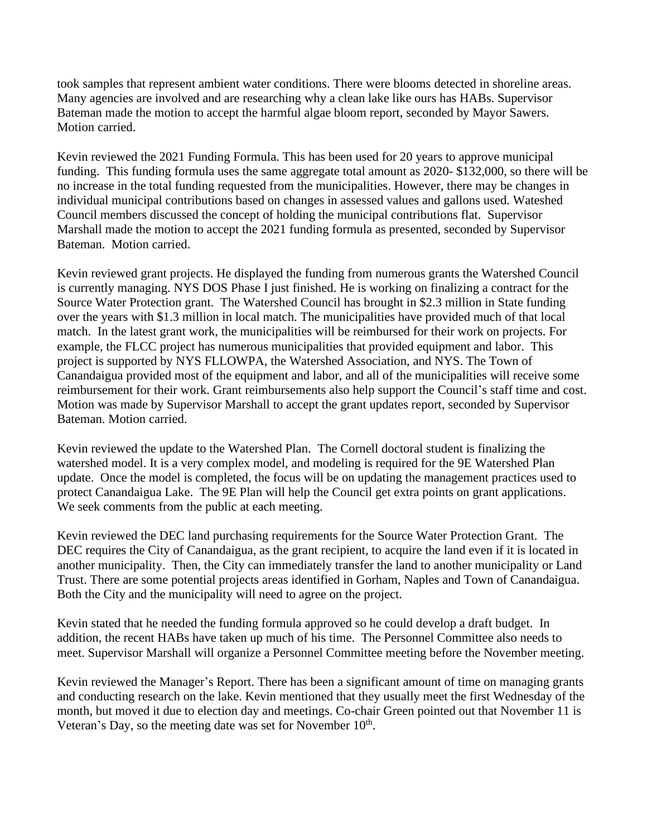took samples that represent ambient water conditions. There were blooms detected in shoreline areas. Many agencies are involved and are researching why a clean lake like ours has HABs. Supervisor Bateman made the motion to accept the harmful algae bloom report, seconded by Mayor Sawers. Motion carried.

Kevin reviewed the 2021 Funding Formula. This has been used for 20 years to approve municipal funding. This funding formula uses the same aggregate total amount as 2020- \$132,000, so there will be no increase in the total funding requested from the municipalities. However, there may be changes in individual municipal contributions based on changes in assessed values and gallons used. Wateshed Council members discussed the concept of holding the municipal contributions flat. Supervisor Marshall made the motion to accept the 2021 funding formula as presented, seconded by Supervisor Bateman. Motion carried.

Kevin reviewed grant projects. He displayed the funding from numerous grants the Watershed Council is currently managing. NYS DOS Phase I just finished. He is working on finalizing a contract for the Source Water Protection grant. The Watershed Council has brought in \$2.3 million in State funding over the years with \$1.3 million in local match. The municipalities have provided much of that local match. In the latest grant work, the municipalities will be reimbursed for their work on projects. For example, the FLCC project has numerous municipalities that provided equipment and labor. This project is supported by NYS FLLOWPA, the Watershed Association, and NYS. The Town of Canandaigua provided most of the equipment and labor, and all of the municipalities will receive some reimbursement for their work. Grant reimbursements also help support the Council's staff time and cost. Motion was made by Supervisor Marshall to accept the grant updates report, seconded by Supervisor Bateman. Motion carried.

Kevin reviewed the update to the Watershed Plan. The Cornell doctoral student is finalizing the watershed model. It is a very complex model, and modeling is required for the 9E Watershed Plan update. Once the model is completed, the focus will be on updating the management practices used to protect Canandaigua Lake. The 9E Plan will help the Council get extra points on grant applications. We seek comments from the public at each meeting.

Kevin reviewed the DEC land purchasing requirements for the Source Water Protection Grant. The DEC requires the City of Canandaigua, as the grant recipient, to acquire the land even if it is located in another municipality. Then, the City can immediately transfer the land to another municipality or Land Trust. There are some potential projects areas identified in Gorham, Naples and Town of Canandaigua. Both the City and the municipality will need to agree on the project.

Kevin stated that he needed the funding formula approved so he could develop a draft budget. In addition, the recent HABs have taken up much of his time. The Personnel Committee also needs to meet. Supervisor Marshall will organize a Personnel Committee meeting before the November meeting.

Kevin reviewed the Manager's Report. There has been a significant amount of time on managing grants and conducting research on the lake. Kevin mentioned that they usually meet the first Wednesday of the month, but moved it due to election day and meetings. Co-chair Green pointed out that November 11 is Veteran's Day, so the meeting date was set for November  $10<sup>th</sup>$ .